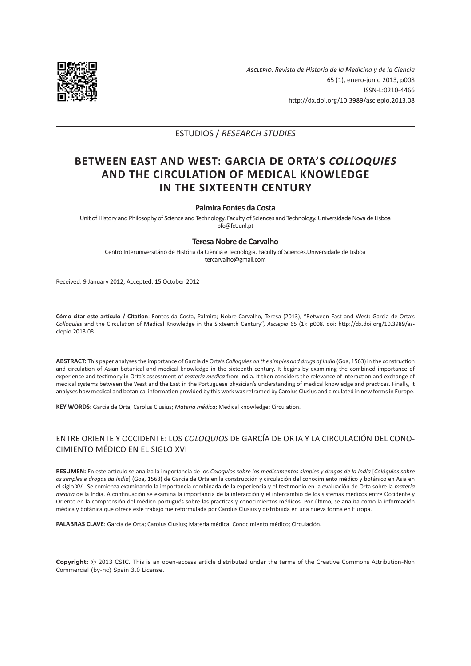

*Asclepio. Revista de Historia de la Medicina y de la Ciencia* 65 (1), enero-junio 2013, p008 ISSN-L:0210-4466 <http://dx.doi.org/10.3989/asclepio.2013.08>

# ESTUDIOS / *RESEARCH STUDIES*

# **BETWEEN EAST AND WEST: GARCIA DE ORTA'S** *COLLOQUIES* **AND THE CIRCULATION OF MEDICAL KNOWLEDGE IN THE SIXTEENTH CENTURY**

### **Palmira Fontes da Costa**

Unit of History and Philosophy of Science and Technology. Faculty of Sciences and Technology. Universidade Nova de Lisboa pfc@fct.unl.pt

## **Teresa Nobre de Carvalho**

Centro Interuniversitário de História da Ciência e Tecnologia. Faculty of Sciences.Universidade de Lisboa tercarvalho@gmail.com

Received: 9 January 2012; Accepted: 15 October 2012

**Cómo citar este artículo / Citation**: Fontes da Costa, Palmira; Nobre-Carvalho, Teresa (2013), "Between East and West: Garcia de Orta's *Colloquies* and the Circulation of Medical Knowledge in the Sixteenth Century", *Asclepio* 65 (1): p008. doi: [http://dx.doi.org/10.3989/as](http://dx.doi.org/10.3989/asclepio.2013.08)[clepio.2013.08](http://dx.doi.org/10.3989/asclepio.2013.08)

**ABSTRACT:** This paper analyses the importance of Garcia de Orta's *Colloquies on the simples and drugs of India* (Goa, 1563) in the construction and circulation of Asian botanical and medical knowledge in the sixteenth century. It begins by examining the combined importance of experience and testimony in Orta's assessment of *materia medica* from India. It then considers the relevance of interaction and exchange of medical systems between the West and the East in the Portuguese physician's understanding of medical knowledge and practices. Finally, it analyses how medical and botanical information provided by this work was reframed by Carolus Clusius and circulated in new forms in Europe.

**KEY WORDS**: Garcia de Orta; Carolus Clusius; *Materia médica*; Medical knowledge; Circulation.

# ENTRE ORIENTE Y OCCIDENTE: LOS *COLOQUIOS* DE GARCÍA DE ORTA Y LA CIRCULACIÓN DEL CONO-CIMIENTO MÉDICO EN EL SIGLO XVI

**RESUMEN:** En este artículo se analiza la importancia de los *Coloquios sobre los medicamentos simples y drogas de la India* [*Colóquios sobre os simples e drogas da Índia*] (Goa, 1563) de Garcia de Orta en la construcción y circulación del conocimiento médico y botánico en Asia en el siglo XVI. Se comienza examinando la importancia combinada de la experiencia y el testimonio en la evaluación de Orta sobre la *materia medica* de la India. A continuación se examina la importancia de la interacción y el intercambio de los sistemas médicos entre Occidente y Oriente en la comprensión del médico portugués sobre las prácticas y conocimientos médicos. Por último, se analiza como la información médica y botánica que ofrece este trabajo fue reformulada por Carolus Clusius y distribuida en una nueva forma en Europa.

**PALABRAS CLAVE**: García de Orta; Carolus Clusius; Materia médica; Conocimiento médico; Circulación.

**Copyright:** © 2013 CSIC. This is an open-access article distributed under the terms of the Creative Commons Attribution-Non Commercial (by-nc) Spain 3.0 License.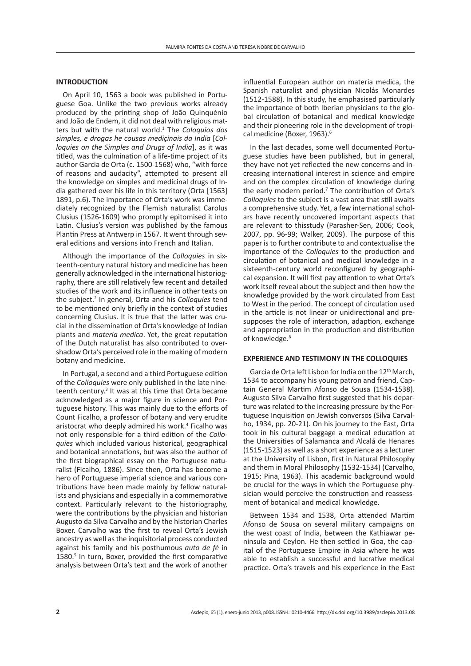### **INTRODUCTION**

On April 10, 1563 a book was published in Portuguese Goa. Unlike the two previous works already produced by the printing shop of João Quinquénio and João de Endem, it did not deal with religious matters but with the natural world.<sup>1</sup> The *Coloquios dos simples, e drogas he cousas mediçinais da India* [*Colloquies on the Simples and Drugs of India*], as it was titled, was the culmination of a life-time project of its author Garcia de Orta (c. 1500-1568) who, "with force of reasons and audacity", attempted to present all the knowledge on simples and medicinal drugs of India gathered over his life in this territory (Orta [1563] 1891, p.6). The importance of Orta's work was immediately recognized by the Flemish naturalist Carolus Clusius (1526-1609) who promptly epitomised it into Latin. Clusius's version was published by the famous Plantin Press at Antwerp in 1567. It went through several editions and versions into French and Italian.

Although the importance of the *Colloquies* in sixteenth-century natural history and medicine has been generally acknowledged in the international historiography, there are still relatively few recent and detailed studies of the work and its influence in other texts on the subject.2 In general, Orta and his *Colloquies* tend to be mentioned only briefly in the context of studies concerning Clusius. It is true that the latter was crucial in the dissemination of Orta's knowledge of Indian plants and *materia medica*. Yet, the great reputation of the Dutch naturalist has also contributed to overshadow Orta's perceived role in the making of modern botany and medicine.

In Portugal, a second and a third Portuguese edition of the *Colloquies* were only published in the late nineteenth century.<sup>3</sup> It was at this time that Orta became acknowledged as a major figure in science and Portuguese history. This was mainly due to the efforts of Count Ficalho, a professor of botany and very erudite aristocrat who deeply admired his work.<sup>4</sup> Ficalho was not only responsible for a third edition of the *Colloquies* which included various historical, geographical and botanical annotations, but was also the author of the first biographical essay on the Portuguese naturalist (Ficalho, 1886). Since then, Orta has become a hero of Portuguese imperial science and various contributions have been made mainly by fellow naturalists and physicians and especially in a commemorative context. Particularly relevant to the historiography, were the contributions by the physician and historian Augusto da Silva Carvalho and by the historian Charles Boxer. Carvalho was the first to reveal Orta's Jewish ancestry as well as the inquisitorial process conducted against his family and his posthumous *auto de fé* in 1580.<sup>5</sup> In turn, Boxer, provided the first comparative analysis between Orta's text and the work of another

influential European author on materia medica, the Spanish naturalist and physician Nicolás Monardes (1512-1588). In this study, he emphasised particularly the importance of both Iberian physicians to the global circulation of botanical and medical knowledge and their pioneering role in the development of tropical medicine (Boxer, 1963).<sup>6</sup>

In the last decades, some well documented Portuguese studies have been published, but in general, they have not yet reflected the new concerns and increasing international interest in science and empire and on the complex circulation of knowledge during the early modern period.<sup>7</sup> The contribution of Orta's *Colloquies* to the subject is a vast area that still awaits a comprehensive study. Yet, a few international scholars have recently uncovered important aspects that are relevant to thisstudy (Parasher-Sen, 2006; Cook, 2007, pp. 96-99; Walker, 2009). The purpose of this paper is to further contribute to and contextualise the importance of the *Colloquies* to the production and circulation of botanical and medical knowledge in a sixteenth-century world reconfigured by geographical expansion. It will first pay attention to what Orta's work itself reveal about the subject and then how the knowledge provided by the work circulated from East to West in the period. The concept of circulation used in the article is not linear or unidirectional and presupposes the role of interaction, adaption, exchange and appropriation in the production and distribution of knowledge.<sup>8</sup>

#### **EXPERIENCE AND TESTIMONY IN THE COLLOQUIES**

Garcia de Orta left Lisbon for India on the 12<sup>th</sup> March, 1534 to accompany his young patron and friend, Captain General Martim Afonso de Sousa (1534-1538). Augusto Silva Carvalho first suggested that his departure was related to the increasing pressure by the Portuguese Inquisition on Jewish conversos (Silva Carvalho, 1934, pp. 20-21). On his journey to the East, Orta took in his cultural baggage a medical education at the Universities of Salamanca and Alcalá de Henares (1515-1523) as well as a short experience as a lecturer at the University of Lisbon, first in Natural Philosophy and them in Moral Philosophy (1532-1534) (Carvalho, 1915; Pina, 1963). This academic background would be crucial for the ways in which the Portuguese physician would perceive the construction and reassessment of botanical and medical knowledge.

Between 1534 and 1538, Orta attended Martim Afonso de Sousa on several military campaigns on the west coast of India, between the Kathiawar peninsula and Ceylon. He then settled in Goa, the capital of the Portuguese Empire in Asia where he was able to establish a successful and lucrative medical practice. Orta's travels and his experience in the East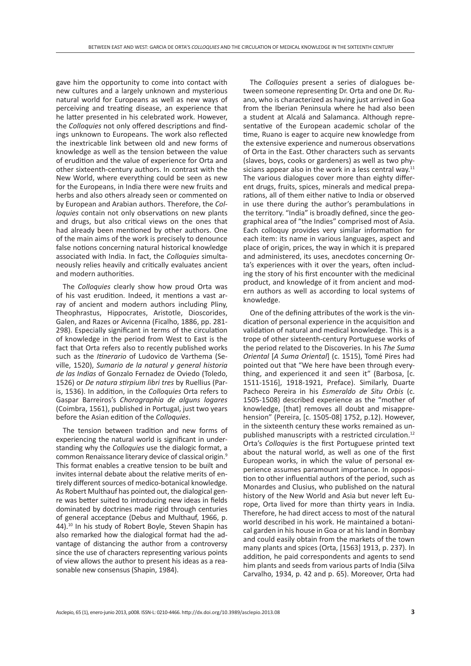gave him the opportunity to come into contact with new cultures and a largely unknown and mysterious natural world for Europeans as well as new ways of perceiving and treating disease, an experience that he latter presented in his celebrated work. However, the *Colloquies* not only offered descriptions and findings unknown to Europeans. The work also reflected the inextricable link between old and new forms of knowledge as well as the tension between the value of erudition and the value of experience for Orta and other sixteenth-century authors. In contrast with the New World, where everything could be seen as new for the Europeans, in India there were new fruits and herbs and also others already seen or commented on by European and Arabian authors. Therefore, the *Colloquies* contain not only observations on new plants and drugs, but also critical views on the ones that had already been mentioned by other authors. One of the main aims of the work is precisely to denounce false notions concerning natural historical knowledge associated with India. In fact, the *Colloquies* simultaneously relies heavily and critically evaluates ancient and modern authorities.

The *Colloquies* clearly show how proud Orta was of his vast erudition. Indeed, it mentions a vast array of ancient and modern authors including Pliny, Theophrastus, Hippocrates, Aristotle, Dioscorides, Galen, and Razes or Avicenna (Ficalho, 1886, pp. 281- 298). Especially significant in terms of the circulation of knowledge in the period from West to East is the fact that Orta refers also to recently published works such as the *Itinerario* of Ludovico de Varthema (Seville, 1520), *Sumario de la natural y general historia de las Indias* of Gonzalo Fernadez de Oviedo (Toledo, 1526) or *De natura stirpium libri tres* by Ruellius (Paris, 1536). In addition, in the *Colloquies* Orta refers to Gaspar Barreiros's *Chorographia de alguns logares* (Coimbra, 1561), published in Portugal, just two years before the Asian edition of the *Colloquies*.

The tension between tradition and new forms of experiencing the natural world is significant in understanding why the *Colloquies* use the dialogic format, a common Renaissance literary device of classical origin.9 This format enables a creative tension to be built and invites internal debate about the relative merits of entirely different sources of medico-botanical knowledge. As Robert Multhauf has pointed out, the dialogical genre was better suited to introducing new ideas in fields dominated by doctrines made rigid through centuries of general acceptance (Debus and Multhauf, 1966, p. 44).10 In his study of Robert Boyle, Steven Shapin has also remarked how the dialogical format had the advantage of distancing the author from a controversy since the use of characters representing various points of view allows the author to present his ideas as a reasonable new consensus (Shapin, 1984).

The *Colloquies* present a series of dialogues between someone representing Dr. Orta and one Dr. Ruano, who is characterized as having just arrived in Goa from the Iberian Peninsula where he had also been a student at Alcalá and Salamanca. Although representative of the European academic scholar of the time, Ruano is eager to acquire new knowledge from the extensive experience and numerous observations of Orta in the East. Other characters such as servants (slaves, boys, cooks or gardeners) as well as two physicians appear also in the work in a less central way. $11$ The various dialogues cover more than eighty different drugs, fruits, spices, minerals and medical preparations, all of them either native to India or observed in use there during the author's perambulations in the territory. "India" is broadly defined, since the geographical area of "the Indies" comprised most of Asia. Each colloquy provides very similar information for each item: its name in various languages, aspect and place of origin, prices, the way in which it is prepared and administered, its uses, anecdotes concerning Orta's experiences with it over the years, often including the story of his first encounter with the medicinal product, and knowledge of it from ancient and modern authors as well as according to local systems of knowledge.

One of the defining attributes of the work is the vindication of personal experience in the acquisition and validation of natural and medical knowledge. This is a trope of other sixteenth-century Portuguese works of the period related to the Discoveries. In his *The Suma Oriental* [*A Suma Oriental*] (c. 1515), Tomé Pires had pointed out that "We here have been through everything, and experienced it and seen it" (Barbosa, [c. 1511-1516], 1918-1921, Preface). Similarly, Duarte Pacheco Pereira in his *Esmeraldo de Situ Orbis* (c. 1505-1508) described experience as the "mother of knowledge, [that] removes all doubt and misapprehension" (Pereira, [c. 1505-08] 1752, p.12). However, in the sixteenth century these works remained as unpublished manuscripts with a restricted circulation.<sup>12</sup> Orta's *Colloquies* is the first Portuguese printed text about the natural world, as well as one of the first European works, in which the value of personal experience assumes paramount importance. In opposition to other influential authors of the period, such as Monardes and Clusius, who published on the natural history of the New World and Asia but never left Europe, Orta lived for more than thirty years in India. Therefore, he had direct access to most of the natural world described in his work. He maintained a botanical garden in his house in Goa or at his land in Bombay and could easily obtain from the markets of the town many plants and spices (Orta, [1563] 1913, p. 237). In addition, he paid correspondents and agents to send him plants and seeds from various parts of India (Silva Carvalho, 1934, p. 42 and p. 65). Moreover, Orta had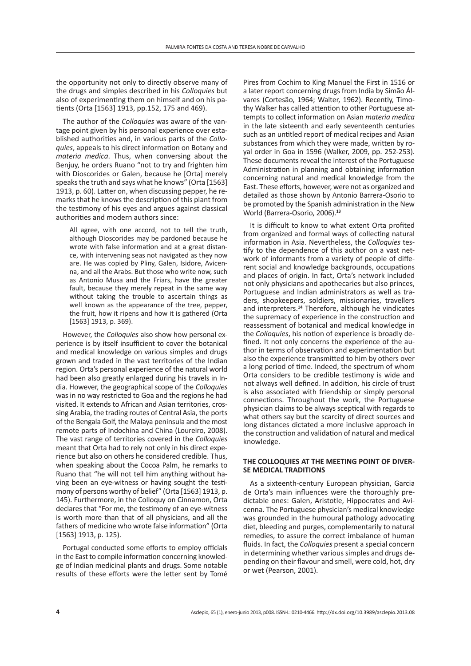the opportunity not only to directly observe many of the drugs and simples described in his *Colloquies* but also of experimenting them on himself and on his patients (Orta [1563] 1913, pp.152, 175 and 469).

The author of the *Colloquies* was aware of the vantage point given by his personal experience over established authorities and, in various parts of the *Colloquies*, appeals to his direct information on Botany and *materia medica*. Thus, when conversing about the Benjuy, he orders Ruano "not to try and frighten him with Dioscorides or Galen, because he [Orta] merely speaks the truth and says what he knows" (Orta [1563] 1913, p. 60). Latter on, when discussing pepper, he remarks that he knows the description of this plant from the testimony of his eyes and argues against classical authorities and modern authors since:

All agree, with one accord, not to tell the truth, although Dioscorides may be pardoned because he wrote with false information and at a great distance, with intervening seas not navigated as they now are. He was copied by Pliny, Galen, Isidore, Avicenna, and all the Arabs. But those who write now, such as Antonio Musa and the Friars, have the greater fault, because they merely repeat in the same way without taking the trouble to ascertain things as well known as the appearance of the tree, pepper, the fruit, how it ripens and how it is gathered (Orta [1563] 1913, p. 369).

However, the *Colloquies* also show how personal experience is by itself insufficient to cover the botanical and medical knowledge on various simples and drugs grown and traded in the vast territories of the Indian region. Orta's personal experience of the natural world had been also greatly enlarged during his travels in India. However, the geographical scope of the *Colloquies* was in no way restricted to Goa and the regions he had visited. It extends to African and Asian territories, crossing Arabia, the trading routes of Central Asia, the ports of the Bengala Golf, the Malaya peninsula and the most remote parts of Indochina and China (Loureiro, 2008). The vast range of territories covered in the *Colloquies*  meant that Orta had to rely not only in his direct experience but also on others he considered credible. Thus, when speaking about the Cocoa Palm, he remarks to Ruano that "he will not tell him anything without having been an eye-witness or having sought the testimony of persons worthy of belief" (Orta [1563] 1913, p. 145). Furthermore, in the Colloquy on Cinnamon, Orta declares that "For me, the testimony of an eye-witness is worth more than that of all physicians, and all the fathers of medicine who wrote false information" (Orta [1563] 1913, p. 125).

Portugal conducted some efforts to employ officials in the East to compile information concerning knowledge of Indian medicinal plants and drugs. Some notable results of these efforts were the letter sent by Tomé

Pires from Cochim to King Manuel the First in 1516 or a later report concerning drugs from India by Simão Álvares (Cortesão, 1964; Walter, 1962). Recently, Timothy Walker has called attention to other Portuguese attempts to collect information on Asian *materia medica* in the late sixteenth and early seventeenth centuries such as an untitled report of medical recipes and Asian substances from which they were made, written by royal order in Goa in 1596 (Walker, 2009, pp. 252-253). These documents reveal the interest of the Portuguese Administration in planning and obtaining information concerning natural and medical knowledge from the East. These efforts, however, were not as organized and detailed as those shown by Antonio Barrera-Osorio to be promoted by the Spanish administration in the New World (Barrera-Osorio, 2006).**<sup>13</sup>**

It is difficult to know to what extent Orta profited from organized and formal ways of collecting natural information in Asia. Nevertheless, the *Colloquies* testify to the dependence of this author on a vast network of informants from a variety of people of different social and knowledge backgrounds, occupations and places of origin. In fact, Orta's network included not only physicians and apothecaries but also princes, Portuguese and Indian administrators as well as traders, shopkeepers, soldiers, missionaries, travellers and interpreters.**14** Therefore, although he vindicates the supremacy of experience in the construction and reassessment of botanical and medical knowledge in the *Colloquies*, his notion of experience is broadly defined. It not only concerns the experience of the author in terms of observation and experimentation but also the experience transmitted to him by others over a long period of time. Indeed, the spectrum of whom Orta considers to be credible testimony is wide and not always well defined. In addition, his circle of trust is also associated with friendship or simply personal connections. Throughout the work, the Portuguese physician claims to be always sceptical with regards to what others say but the scarcity of direct sources and long distances dictated a more inclusive approach in the construction and validation of natural and medical knowledge.

#### **THE COLLOQUIES AT THE MEETING POINT OF DIVER-SE MEDICAL TRADITIONS**

As a sixteenth-century European physician, Garcia de Orta's main influences were the thoroughly predictable ones: Galen, Aristotle, Hippocrates and Avicenna. The Portuguese physician's medical knowledge was grounded in the humoural pathology advocating diet, bleeding and purges, complementarily to natural remedies, to assure the correct imbalance of human fluids. In fact, the *Colloquies* present a special concern in determining whether various simples and drugs depending on their flavour and smell, were cold, hot, dry or wet (Pearson, 2001).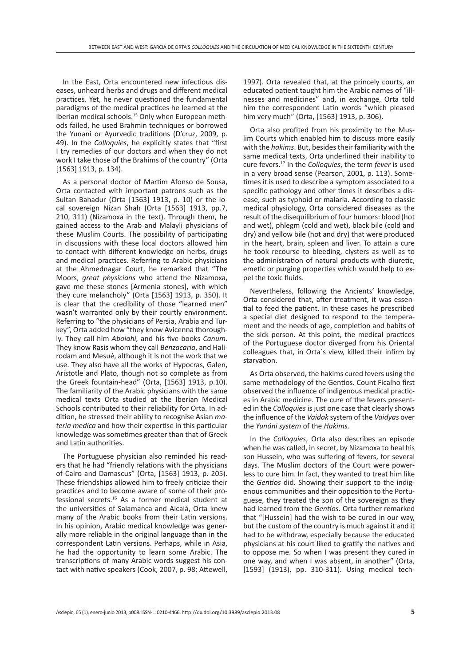In the East, Orta encountered new infectious diseases, unheard herbs and drugs and different medical practices. Yet, he never questioned the fundamental paradigms of the medical practices he learned at the Iberian medical schools.15 Only when European methods failed, he used Brahmin techniques or borrowed the Yunani or Ayurvedic traditions (D'cruz, 2009, p. 49). In the *Colloquies*, he explicitly states that "first I try remedies of our doctors and when they do not work I take those of the Brahims of the country" (Orta [1563] 1913, p. 134).

As a personal doctor of Martim Afonso de Sousa, Orta contacted with important patrons such as the Sultan Bahadur (Orta [1563] 1913, p. 10) or the local sovereign Nizan Shah (Orta [1563] 1913, pp.7, 210, 311) (Nizamoxa in the text). Through them, he gained access to the Arab and Malayli physicians of these Muslim Courts. The possibility of participating in discussions with these local doctors allowed him to contact with different knowledge on herbs, drugs and medical practices. Referring to Arabic physicians at the Ahmednagar Court, he remarked that "The Moors, *great physicians* who attend the Nizamoxa, gave me these stones [Armenia stones], with which they cure melancholy" (Orta [1563] 1913, p. 350). It is clear that the credibility of those "learned men" wasn't warranted only by their courtly environment. Referring to "the physicians of Persia, Arabia and Turkey", Orta added how "they know Avicenna thoroughly. They call him *Abolahi,* and his five books *Canum*. They know Rasis whom they call *Benzacaria*, and Halirodam and Mesué, although it is not the work that we use. They also have all the works of Hypocras, Galen, Aristotle and Plato, though not so complete as from the Greek fountain-head" (Orta, [1563] 1913, p.10). The familiarity of the Arabic physicians with the same medical texts Orta studied at the Iberian Medical Schools contributed to their reliability for Orta. In addition, he stressed their ability to recognise Asian *materia medica* and how their expertise in this particular knowledge was sometimes greater than that of Greek and Latin authorities.

The Portuguese physician also reminded his readers that he had "friendly relations with the physicians of Cairo and Damascus" (Orta, [1563] 1913, p. 205). These friendships allowed him to freely criticize their practices and to become aware of some of their professional secrets.16 As a former medical student at the universities of Salamanca and Alcalá, Orta knew many of the Arabic books from their Latin versions. In his opinion, Arabic medical knowledge was generally more reliable in the original language than in the correspondent Latin versions. Perhaps, while in Asia, he had the opportunity to learn some Arabic. The transcriptions of many Arabic words suggest his contact with native speakers (Cook, 2007, p. 98; Attewell, 1997). Orta revealed that, at the princely courts, an educated patient taught him the Arabic names of "illnesses and medicines" and, in exchange, Orta told him the correspondent Latin words "which pleased him very much" (Orta, [1563] 1913, p. 306).

Orta also profited from his proximity to the Muslim Courts which enabled him to discuss more easily with the *hakims*. But, besides their familiarity with the same medical texts, Orta underlined their inability to cure fevers.17 In the *Colloquies*, the term *fever* is used in a very broad sense (Pearson, 2001, p. 113). Sometimes it is used to describe a symptom associated to a specific pathology and other times it describes a disease, such as typhoid or malaria. According to classic medical physiology, Orta considered diseases as the result of the disequilibrium of four humors: blood (hot and wet), phlegm (cold and wet), black bile (cold and dry) and yellow bile (hot and dry) that were produced in the heart, brain, spleen and liver. To attain a cure he took recourse to bleeding, clysters as well as to the administration of natural products with diuretic, emetic or purging properties which would help to expel the toxic fluids.

Nevertheless, following the Ancients' knowledge, Orta considered that, after treatment, it was essential to feed the patient. In these cases he prescribed a special diet designed to respond to the temperament and the needs of age, completion and habits of the sick person. At this point, the medical practices of the Portuguese doctor diverged from his Oriental colleagues that, in Orta´s view, killed their infirm by starvation.

As Orta observed, the hakims cured fevers using the same methodology of the Gentios. Count Ficalho first observed the influence of indigenous medical practices in Arabic medicine. The cure of the fevers presented in the *Colloquies* is just one case that clearly shows the influence of the *Vaidak* system of the *Vaidyas* over the *Yunáni system* of the *Hakims.*

In the *Colloquies*, Orta also describes an episode when he was called, in secret, by Nizamoxa to heal his son Hussein, who was suffering of fevers, for several days. The Muslim doctors of the Court were powerless to cure him. In fact, they wanted to treat him like the *Gentios* did. Showing their support to the indigenous communities and their opposition to the Portuguese, they treated the son of the sovereign as they had learned from the *Gentios*. Orta further remarked that "[Hussein] had the wish to be cured in our way, but the custom of the country is much against it and it had to be withdraw, especially because the educated physicians at his court liked to gratify the natives and to oppose me. So when I was present they cured in one way, and when I was absent, in another" (Orta, [1593] (1913), pp. 310-311). Using medical tech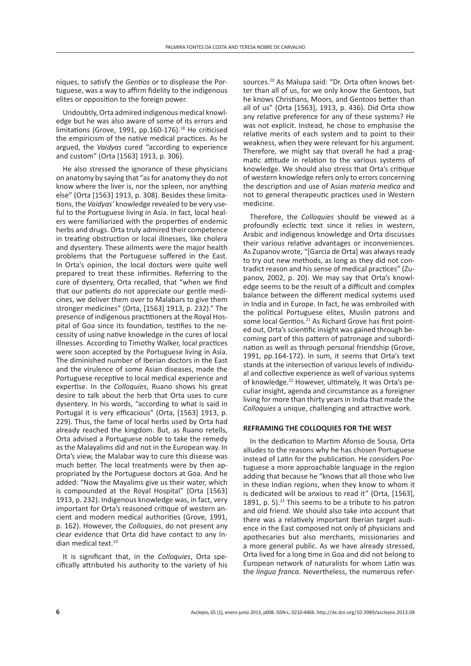niques, to satisfy the *Gentios* or to displease the Portuguese, was a way to affirm fidelity to the indigenous elites or opposition to the foreign power.

Undoubtly, Orta admired indigenous medical knowledge but he was also aware of some of its errors and limitations (Grove, 1991, pp.160-176).<sup>18</sup> He criticised the empiricism of the native medical practices. As he argued, the *Vaidyas* cured "according to experience and custom" (Orta [1563] 1913, p. 306).

He also stressed the ignorance of these physicians on anatomy by saying that "as for anatomy they do not know where the liver is, nor the spleen, nor anything else" (Orta [1563] 1913, p. 308). Besides these limitations, the *Vaidyas'* knowledge revealed to be very useful to the Portuguese living in Asia. In fact, local healers were familiarized with the properties of endemic herbs and drugs. Orta truly admired their competence in treating obstruction or local illnesses, like cholera and dysentery. These ailments were the major health problems that the Portuguese suffered in the East. In Orta's opinion, the local doctors were quite well prepared to treat these infirmities. Referring to the cure of dysentery, Orta recalled, that "when we find that our patients do not appreciate our gentle medicines, we deliver them over to Malabars to give them stronger medicines" (Orta, [1563] 1913, p. 232)." The presence of indigenous practitioners at the Royal Hospital of Goa since its foundation, testifies to the necessity of using native knowledge in the cures of local illnesses. According to Timothy Walker, local practices were soon accepted by the Portuguese living in Asia. The diminished number of Iberian doctors in the East and the virulence of some Asian diseases, made the Portuguese receptive to local medical experience and expertise. In the *Colloquies*, Ruano shows his great desire to talk about the herb that Orta uses to cure dysentery. In his words, "according to what is said in Portugal it is very efficacious" (Orta, [1563] 1913, p. 229). Thus, the fame of local herbs used by Orta had already reached the kingdom. But, as Ruano retells, Orta advised a Portuguese noble to take the remedy as the Malayalims did and not in the European way. In Orta's view, the Malabar way to cure this disease was much better. The local treatments were by then appropriated by the Portuguese doctors at Goa. And he added: "Now the Mayalims give us their water, which is compounded at the Royal Hospital" (Orta [1563] 1913, p. 232). Indigenous knowledge was, in fact, very important for Orta's reasoned critique of western ancient and modern medical authorities (Grove, 1991, p. 162). However, the *Colloquies*, do not present any clear evidence that Orta did have contact to any Indian medical text.19

It is significant that, in the *Colloquies*, Orta specifically attributed his authority to the variety of his sources.20 As Malupa said: "Dr. Orta often knows better than all of us, for we only know the Gentoos, but he knows Christians, Moors, and Gentoos better than all of us" (Orta [1563], 1913, p. 436). Did Orta show any relative preference for any of these systems? He was not explicit. Instead, he chose to emphasise the relative merits of each system and to point to their weakness, when they were relevant for his argument. Therefore, we might say that overall he had a pragmatic attitude in relation to the various systems of knowledge. We should also stress that Orta's critique of western knowledge refers only to errors concerning the description and use of Asian *materia medica* and not to general therapeutic practices used in Western medicine.

Therefore, the *Colloquies* should be viewed as a profoundly eclectic text since it relies in western, Arabic and indigenous knowledge and Orta discusses their various relative advantages or inconveniences. As Zupanov wrote, "[Garcia de Orta] was always ready to try out new methods, as long as they did not contradict reason and his sense of medical practices" (Zupanov, 2002, p. 20). We may say that Orta's knowledge seems to be the result of a difficult and complex balance between the different medical systems used in India and in Europe. In fact, he was embroiled with the political Portuguese elites, Muslin patrons and some local Gentios.<sup>21</sup> As Richard Grove has first pointed out, Orta's scientific insight was gained through becoming part of this pattern of patronage and subordination as well as through personal friendship (Grove, 1991, pp.164-172). In sum, it seems that Orta's text stands at the intersection of various levels of individual and collective experience as well of various systems of knowledge.<sup>22</sup> However, ultimately, it was Orta's peculiar insight, agenda and circumstance as a foreigner living for more than thirty years in India that made the *Colloquies* a unique, challenging and attractive work..

#### **REFRAMING THE COLLOQUIES FOR THE WEST**

In the dedication to Martim Afonso de Sousa, Orta alludes to the reasons why he has chosen Portuguese instead of Latin for the publication. He considers Portuguese a more approachable language in the region adding that because he "knows that all those who live in these Indian regions, when they know to whom it is dedicated will be anxious to read it" (Orta, [1563], 1891, p. 5). $^{23}$  This seems to be a tribute to his patron and old friend. We should also take into account that there was a relatively important Iberian target audience in the East composed not only of physicians and apothecaries but also merchants, missionaries and a more general public. As we have already stressed, Orta lived for a long time in Goa and did not belong to European network of naturalists for whom Latin was the *lingua franca*. Nevertheless, the numerous refer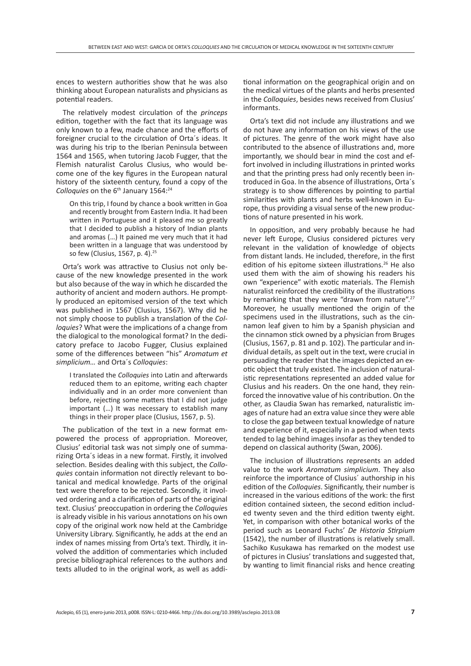ences to western authorities show that he was also thinking about European naturalists and physicians as potential readers.

The relatively modest circulation of the *princeps*  edition, together with the fact that its language was only known to a few, made chance and the efforts of foreigner crucial to the circulation of Orta´s ideas. It was during his trip to the Iberian Peninsula between 1564 and 1565, when tutoring Jacob Fugger, that the Flemish naturalist Carolus Clusius, who would become one of the key figures in the European natural history of the sixteenth century, found a copy of the Colloquies on the 6<sup>th</sup> January 1564:<sup>24</sup>

On this trip, I found by chance a book written in Goa and recently brought from Eastern India. It had been written in Portuguese and it pleased me so greatly that I decided to publish a history of Indian plants and aromas (…) It pained me very much that it had been written in a language that was understood by so few (Clusius, 1567, p. 4).25

Orta's work was attractive to Clusius not only because of the new knowledge presented in the work but also because of the way in which he discarded the authority of ancient and modern authors. He promptly produced an epitomised version of the text which was published in 1567 (Clusius, 1567). Why did he not simply choose to publish a translation of the *Colloquies*? What were the implications of a change from the dialogical to the monological format? In the dedicatory preface to Jacobo Fugger, Clusius explained some of the differences between "his" *Aromatum et simplicium…* and Orta´s *Colloquies*:

I translated the *Colloquies* into Latin and afterwards reduced them to an epitome, writing each chapter individually and in an order more convenient than before, rejecting some matters that I did not judge important (…) It was necessary to establish many things in their proper place (Clusius, 1567, p. 5).

The publication of the text in a new format empowered the process of appropriation. Moreover, Clusius' editorial task was not simply one of summarizing Orta´s ideas in a new format. Firstly, it involved selection. Besides dealing with this subject, the *Colloquies* contain information not directly relevant to botanical and medical knowledge. Parts of the original text were therefore to be rejected. Secondly, it involved ordering and a clarification of parts of the original text. Clusius' preoccupation in ordering the *Colloquie*s is already visible in his various annotations on his own copy of the original work now held at the Cambridge University Library. Significantly, he adds at the end an index of names missing from Orta's text. Thirdly, it involved the addition of commentaries which included precise bibliographical references to the authors and texts alluded to in the original work, as well as additional information on the geographical origin and on the medical virtues of the plants and herbs presented in the *Colloquies*, besides news received from Clusius' informants.

Orta's text did not include any illustrations and we do not have any information on his views of the use of pictures. The genre of the work might have also contributed to the absence of illustrations and, more importantly, we should bear in mind the cost and effort involved in including illustrations in printed works and that the printing press had only recently been introduced in Goa. In the absence of illustrations, Orta´s strategy is to show differences by pointing to partial similarities with plants and herbs well-known in Europe, thus providing a visual sense of the new productions of nature presented in his work.

In opposition, and very probably because he had never left Europe, Clusius considered pictures very relevant in the validation of knowledge of objects from distant lands. He included, therefore, in the first edition of his epitome sixteen illustrations.<sup>26</sup> He also used them with the aim of showing his readers his own "experience" with exotic materials. The Flemish naturalist reinforced the credibility of the illustrations by remarking that they were "drawn from nature".<sup>27</sup> Moreover, he usually mentioned the origin of the specimens used in the illustrations, such as the cinnamon leaf given to him by a Spanish physician and the cinnamon stick owned by a physician from Bruges (Clusius, 1567, p. 81 and p. 102). The particular and individual details, as spelt out in the text, were crucial in persuading the reader that the images depicted an exotic object that truly existed. The inclusion of naturalistic representations represented an added value for Clusius and his readers. On the one hand, they reinforced the innovative value of his contribution. On the other, as Claudia Swan has remarked, naturalistic images of nature had an extra value since they were able to close the gap between textual knowledge of nature and experience of it, especially in a period when texts tended to lag behind images insofar as they tended to depend on classical authority (Swan, 2006).

The inclusion of illustrations represents an added value to the work *Aromatum simplicium*. They also reinforce the importance of Clusius´ authorship in his edition of the *Colloquies*. Significantly, their number is increased in the various editions of the work: the first edition contained sixteen, the second edition included twenty seven and the third edition twenty eight. Yet, in comparison with other botanical works of the period such as Leonard Fuchs' *De Historia Stirpium*  (1542), the number of illustrations is relatively small. Sachiko Kusukawa has remarked on the modest use of pictures in Clusius' translations and suggested that, by wanting to limit financial risks and hence creating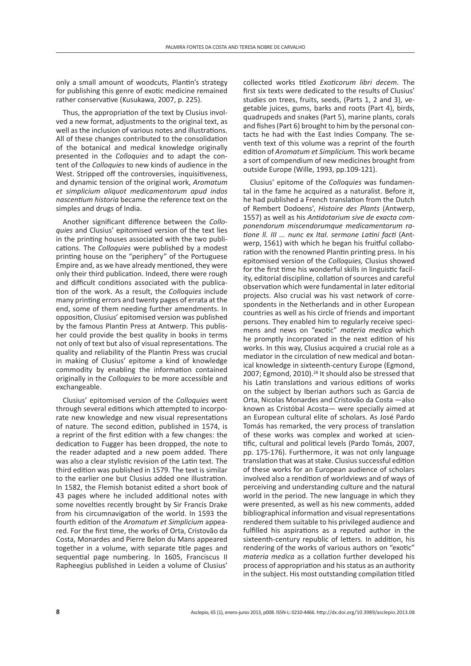rendered them suitable to his privileged audience and fulfilled his aspirations as a reputed author in the sixteenth-century republic of letters. In addition, his rendering of the works of various authors on "exotic" *materia medica* as a collation further developed his process of appropriation and his status as an authority in the subject. His most outstanding compilation titled

collected works titled *Exoticorum libri decem*. The first six texts were dedicated to the results of Clusius' studies on trees, fruits, seeds, (Parts 1, 2 and 3), vegetable juices, gums, barks and roots (Part 4), birds, quadrupeds and snakes (Part 5), marine plants, corals and fishes (Part 6) brought to him by the personal contacts he had with the East Indies Company. The seventh text of this volume was a reprint of the fourth edition of *Aromatum et Simplicium.* This work became a sort of compendium of new medicines brought from outside Europe (Wille, 1993, pp.109-121). Clusius' epitome of the *Colloquies* was fundamental in the fame he acquired as a naturalist. Before it, he had published a [French](http://en.wikipedia.org/wiki/France) translation from the Dutch of [Rembert Dodoens'](http://en.wikipedia.org/wiki/Rembert_Dodoens), *Histoire des Plants* ([Antwerp,](http://en.wikipedia.org/wiki/Antwerp) 1557) as well as his *Antidotarium sive de exacta componendorum miscendorumque medicamentorum ratione ll. III ... nunc ex Ital. sermone Latini facti* [\(Ant](http://en.wikipedia.org/wiki/Antwerp)[werp](http://en.wikipedia.org/wiki/Antwerp), 1561) with which he began his fruitful collabo-

ration with the renowned [Plantin printing press.](http://en.wikipedia.org/wiki/Plantin_Press) In his epitomised version of the *Colloquies,* Clusius showed for the first time his wonderful skills in linguistic facility, editorial discipline, collation of sources and careful observation which were fundamental in later editorial projects. Also crucial was his vast network of correspondents in the Netherlands and in other European countries as well as his circle of friends and important persons. They enabled him to regularly receive specimens and news on "exotic" *materia medica* which he promptly incorporated in the next edition of his works. In this way, Clusius acquired a crucial role as a mediator in the circulation of new medical and botanical knowledge in sixteenth-century Europe (Egmond, 2007; Egmond, 2010).<sup>28</sup> It should also be stressed that his Latin translations and various editions of works on the subject by Iberian authors such as Garcia de Orta, Nicolas Monardes and Cristovão da Costa —also known as Cristóbal Acosta— were specially aimed at an European cultural elite of scholars. As José Pardo Tomás has remarked, the very process of translation of these works was complex and worked at scientific, cultural and political levels (Pardo Tomás, 2007, pp. 175-176). Furthermore, it was not only language translation that was at stake. Clusius successful edition of these works for an European audience of scholars involved also a rendition of worldviews and of ways of perceiving and understanding culture and the natural world in the period. The new language in which they were presented, as well as his new comments, added bibliographical information and visual representations

only a small amount of woodcuts, Plantin's strategy for publishing this genre of exotic medicine remained rather conservative (Kusukawa, 2007, p. 225).

Thus, the appropriation of the text by Clusius involved a new format, adjustments to the original text, as well as the inclusion of various notes and illustrations. All of these changes contributed to the consolidation of the botanical and medical knowledge originally presented in the *Colloquies* and to adapt the content of the *Colloquies* to new kinds of audience in the West. Stripped off the controversies, inquisitiveness, and dynamic tension of the original work, *Aromatum et simplicium aliquot medicamentorum apud indos nascentium historia* became the reference text on the simples and drugs of India.

Another significant difference between the *Colloquies* and Clusius' epitomised version of the text lies in the printing houses associated with the two publications. The *Colloquies* were published by a modest printing house on the "periphery" of the Portuguese Empire and, as we have already mentioned, they were only their third publication. Indeed, there were rough and difficult conditions associated with the publication of the work. As a result, the *Colloquies* include many printing errors and twenty pages of errata at the end, some of them needing further amendments. In opposition, Clusius' epitomised version was published by the famous Plantin Press at Antwerp. This publisher could provide the best quality in books in terms not only of text but also of visual representations. The quality and reliability of the Plantin Press was crucial in making of Clusius' epitome a kind of knowledge commodity by enabling the information contained originally in the *Colloquies* to be more accessible and exchangeable.

Clusius' epitomised version of the *Colloquies* went through several editions which attempted to incorporate new knowledge and new visual representations of nature. The second edition, published in 1574, is a reprint of the first edition with a few changes: the dedication to Fugger has been dropped, the note to the reader adapted and a new poem added. There was also a clear stylistic revision of the Latin text. The third edition was published in 1579. The text is similar to the earlier one but Clusius added one illustration. In 1582, the Flemish botanist edited a short book of 43 pages where he included additional notes with some novelties recently brought by Sir Francis Drake from his circumnavigation of the world. In 1593 the fourth edition of the *Aromatum et Simplicium* appeared. For the first time, the works of Orta, Cristovão da Costa, Monardes and Pierre Belon du Mans appeared together in a volume, with separate title pages and sequential page numbering. In 1605, Franciscus II Rapheegius published in Leiden a volume of Clusius'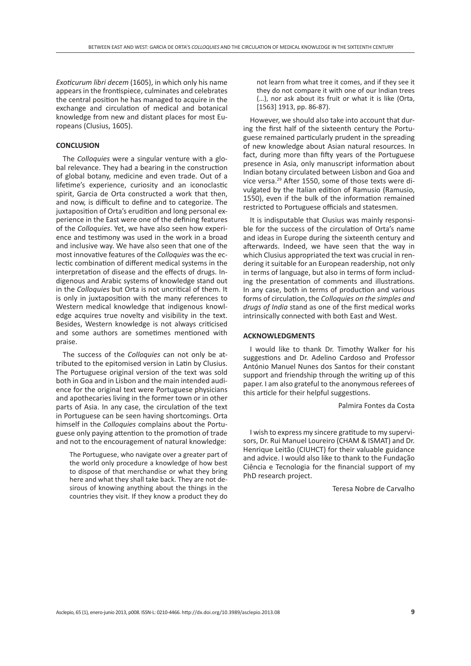*Exoticurum libri decem* (1605), in which only his name appears in the frontispiece, culminates and celebrates the central position he has managed to acquire in the exchange and circulation of medical and botanical knowledge from new and distant places for most Europeans (Clusius, 1605).

#### **CONCLUSION**

The *Colloquies* were a singular venture with a global relevance. They had a bearing in the construction of global botany, medicine and even trade. Out of a lifetime's experience, curiosity and an iconoclastic spirit, Garcia de Orta constructed a work that then, and now, is difficult to define and to categorize. The juxtaposition of Orta's erudition and long personal experience in the East were one of the defining features of the *Colloquies*. Yet, we have also seen how experience and testimony was used in the work in a broad and inclusive way. We have also seen that one of the most innovative features of the *Colloquies* was the eclectic combination of different medical systems in the interpretation of disease and the effects of drugs. Indigenous and Arabic systems of knowledge stand out in the *Colloquies* but Orta is not uncritical of them. It is only in juxtaposition with the many references to Western medical knowledge that indigenous knowledge acquires true novelty and visibility in the text. Besides, Western knowledge is not always criticised and some authors are sometimes mentioned with praise.

The success of the *Colloquies* can not only be attributed to the epitomised version in Latin by Clusius. The Portuguese original version of the text was sold both in Goa and in Lisbon and the main intended audience for the original text were Portuguese physicians and apothecaries living in the former town or in other parts of Asia. In any case, the circulation of the text in Portuguese can be seen having shortcomings. Orta himself in the *Colloquies* complains about the Portuguese only paying attention to the promotion of trade and not to the encouragement of natural knowledge:

The Portuguese, who navigate over a greater part of the world only procedure a knowledge of how best to dispose of that merchandise or what they bring here and what they shall take back. They are not desirous of knowing anything about the things in the countries they visit. If they know a product they do

not learn from what tree it comes, and if they see it they do not compare it with one of our Indian trees (…), nor ask about its fruit or what it is like (Orta, [1563] 1913, pp. 86-87).

However, we should also take into account that during the first half of the sixteenth century the Portuguese remained particularly prudent in the spreading of new knowledge about Asian natural resources. In fact, during more than fifty years of the Portuguese presence in Asia, only manuscript information about Indian botany circulated between Lisbon and Goa and vice versa.29 After 1550, some of those texts were divulgated by the Italian edition of Ramusio (Ramusio, 1550), even if the bulk of the information remained restricted to Portuguese officials and statesmen.

It is indisputable that Clusius was mainly responsible for the success of the circulation of Orta's name and ideas in Europe during the sixteenth century and afterwards. Indeed, we have seen that the way in which Clusius appropriated the text was crucial in rendering it suitable for an European readership, not only in terms of language, but also in terms of form including the presentation of comments and illustrations. In any case, both in terms of production and various forms of circulation, the *Colloquies on the simples and drugs of India* stand as one of the first medical works intrinsically connected with both East and West.

## **ACKNOWLEDGMENTS**

I would like to thank Dr. Timothy Walker for his suggestions and Dr. Adelino Cardoso and Professor António Manuel Nunes dos Santos for their constant support and friendship through the writing up of this paper. I am also grateful to the anonymous referees of this article for their helpful suggestions.

#### Palmira Fontes da Costa

I wish to express my sincere gratitude to my supervisors, Dr. Rui Manuel Loureiro (CHAM & ISMAT) and Dr. Henrique Leitão (CIUHCT) for their valuable guidance and advice. I would also like to thank to the Fundação Ciência e Tecnologia for the financial support of my PhD research project.

Teresa Nobre de Carvalho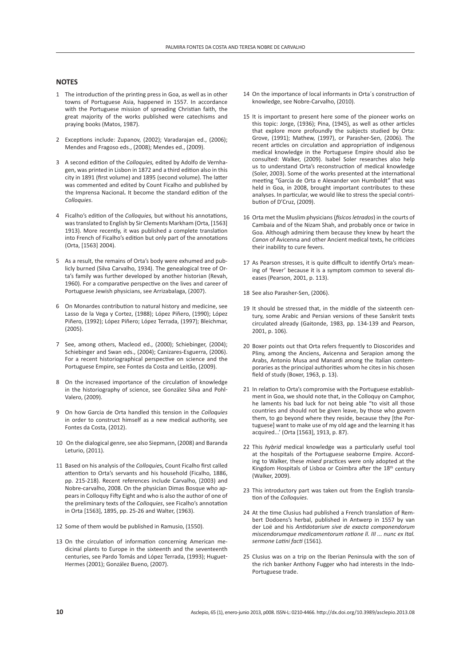#### **NOTES**

- 1 The introduction of the printing press in Goa, as well as in other towns of Portuguese Asia, happened in 1557. In accordance with the Portuguese mission of spreading Christian faith, the great majority of the works published were catechisms and praying books (Matos, 1987).
- 2 Exceptions include: Zupanov, (2002); Varadarajan ed., (2006); Mendes and Fragoso eds., (2008); Mendes ed., (2009).
- 3 A second edition of the *Colloquies,* edited by Adolfo de Vernhagen, was printed in Lisbon in 1872 and a third edition also in this city in 1891 (first volume) and 1895 (second volume). The latter was commented and edited by Count Ficalho and published by the Imprensa Nacional**.** It become the standard edition of the *Colloquies*.
- 4 Ficalho's edition of the *Colloquies,* but without his annotations, was translated to English by Sir Clements Markham (Orta, [1563] 1913). More recently, it was published a complete translation into French of Ficalho's edition but only part of the annotations (Orta, [1563] 2004).
- 5 As a result, the remains of Orta's body were exhumed and publicly burned (Silva Carvalho, 1934). The genealogical tree of Orta's family was further developed by another historian (Revah, 1960). For a comparative perspective on the lives and career of Portuguese Jewish physicians, see Arrizabalaga, (2007).
- 6 On Monardes contribution to natural history and medicine, see Lasso de la Vega y Cortez, (1988); López Piñero, (1990); López Piñero, (1992); López Piñero; López Terrada, (1997); Bleichmar, (2005).
- 7 See, among others, Macleod ed., (2000); Schiebinger, (2004); Schiebinger and Swan eds., (2004); Canizares-Esguerra, (2006). For a recent historiographical perspective on science and the Portuguese Empire, see Fontes da Costa and Leitão, (2009).
- 8 On the increased importance of the circulation of knowledge in the historiography of science, see González Silva and Pohl-Valero, (2009)*.*
- 9 On how Garcia de Orta handled this tension in the *Colloquies* in order to construct himself as a new medical authority, see Fontes da Costa, (2012).
- 10 On the dialogical genre, see also Siepmann, (2008) and Baranda Leturio, (2011).
- 11 Based on his analysis of the *Colloquie*s, Count Ficalho first called attention to Orta's servants and his household (Ficalho, 1886, pp. 215-218). Recent references include Carvalho, (2003) and Nobre-carvalho, 2008. On the physician Dimas Bosque who appears in Colloquy Fifty Eight and who is also the author of one of the preliminary texts of the *Colloquies*, see Ficalho's annotation in Orta [1563], 1895, pp. 25-26 and Walter, (1963).
- 12 Some of them would be published in Ramusio, (1550).
- 13 On the circulation of information concerning American medicinal plants to Europe in the sixteenth and the seventeenth centuries, see Pardo Tomás and López Terrada, (1993); Huguet-Hermes (2001); González Bueno, (2007).
- 14 On the importance of local informants in Orta´s construction of knowledge, see Nobre-Carvalho, (2010).
- 15 It is important to present here some of the pioneer works on this topic: Jorge, (1936); Pina, (1945), as well as other articles that explore more profoundly the subjects studied by Orta: Grove, (1991); Mathew, (1997), or Parasher-Sen, (2006). The recent articles on circulation and appropriation of indigenous medical knowledge in the Portuguese Empire should also be consulted: Walker, (2009). Isabel Soler researches also help us to understand Orta's reconstruction of medical knowledge (Soler, 2003). Some of the works presented at the international meeting "Garcia de Orta e Alexander von Humboldt" that was held in Goa, in 2008, brought important contributes to these analyses. In particular, we would like to stress the special contribution of D'Cruz, (2009).
- 16 Orta met the Muslim physicians (*físicos letrados*) in the courts of Cambaia and of the Nizam Shah, and probably once or twice in Goa. Although admiring them because they knew by heart the *Canon* of Avicenna and other Ancient medical texts, he criticizes their inability to cure fevers.
- 17 As Pearson stresses, it is quite difficult to identify Orta's meaning of 'fever' because it is a symptom common to several diseases (Pearson, 2001, p. 113).
- 18 See also Parasher-Sen, (2006).
- 19 It should be stressed that, in the middle of the sixteenth century, some Arabic and Persian versions of these Sanskrit texts circulated already (Gaitonde, 1983, pp. 134-139 and Pearson, 2001, p. 106).
- 20 Boxer points out that Orta refers frequently to Dioscorides and Pliny, among the Anciens, Avicenna and Serapion among the Arabs, Antonio Musa and Manardi among the Italian contemporaries as the principal authorities whom he cites in his chosen field of study (Boxer, 1963, p. 13).
- 21 In relation to Orta's compromise with the Portuguese establishment in Goa, we should note that, in the Colloquy on Camphor, he laments his bad luck for not being able "to visit all those countries and should not be given leave, by those who govern them, to go beyond where they reside, because they [the Portuguese] want to make use of my old age and the learning it has acquired...' (Orta [1563], 1913, p. 87).
- 22 This *hybrid* medical knowledge was a particularly useful tool at the hospitals of the Portuguese seaborne Empire. According to Walker, these *mixed* practices were only adopted at the Kingdom Hospitals of Lisboa or Coimbra after the 18<sup>th</sup> century (Walker, 2009).
- 23 This introductory part was taken out from the English translation of the *Colloquies*.
- 24 At the time Clusius had published a F[rench](http://en.wikipedia.org/wiki/France) translation of R[em](http://en.wikipedia.org/wiki/Rembert_Dodoens)[bert Dodoens'](http://en.wikipedia.org/wiki/Rembert_Dodoens)s [herbal,](http://en.wikipedia.org/wiki/Herbal) published in A[ntwerp](http://en.wikipedia.org/wiki/Antwerp) in 1557 by van der Loë and his *Antidotarium sive de exacta componendorum miscendorumque medicamentorum ratione ll. III ... nunc ex Ital. sermone Latini facti* (1561).
- 25 Clusius was on a trip on the Iberian Peninsula with the son of the rich banker Anthony Fugger who had interests in the Indo-Portuguese trade.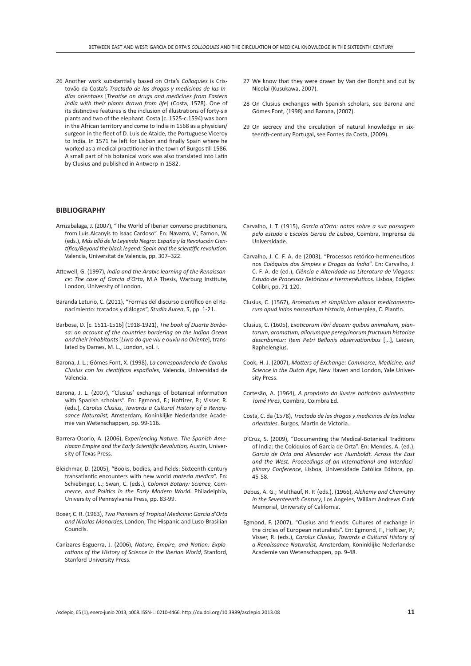26 Another work substantially based on Orta's *Colloquies* is Cristovão da Costa's *Tractado de las drogas y medicinas de las Indias orientales* [*Treatise on drugs and medicines from Eastern India with their plants drawn from life*] (Costa, 1578). One of its distinctive features is the inclusion of illustrations of forty-six plants and two of the elephant. Costa (c. 1525-c.1594) was born in the African territory and come to India in 1568 as a physician/ surgeon in the fleet of D. Luis de Ataide, the Portuguese Viceroy to India. In 1571 he left for Lisbon and finally Spain where he worked as a medical practitioner in the town of Burgos till 1586. A small part of his botanical work was also translated into Latin by Clusius and published in Antwerp in 1582.

#### **BIBLIOGRAPHY**

- Arrizabalaga, J. (2007), "The World of Iberian converso practitioners, from Luís Alcanyís to Isaac Cardoso". En: Navarro, V.; Eamon, W. (eds.), *Más allá de la Leyenda Negra: España y la Revolución Científica/Beyond the black legend: Spain and the scientific revolution*. Valencia, Universitat de Valencia, pp. 307–322.
- Attewell, G. (1997), *India and the Arabic learning of the Renaissance: The case of Garcia d'Orta*, M.A Thesis, Warburg Institute, London, University of London.
- Baranda Leturio, C. (2011), "Formas del discurso científico en el Renacimiento: tratados y diálogos", *Studia Aurea*, 5, pp. 1-21.
- Barbosa, D. [c. 1511-1516] (1918-1921), *The book of Duarte Barbosa: an account of the countries bordering on the Indian Ocean and their inhabitants* [*Livro do que viu e ouviu no Oriente*], translated by Dames, M. L., London, vol. I.
- Barona, J. L.; Gómes Font, X. (1998), *La correspondencia de Carolus Clusius con los científicos españoles*, Valencia, Universidad de Valencia.
- Barona, J. L. (2007), "Clusius' exchange of botanical information with Spanish scholars". En: Egmond, F.; Hoftizer, P.; Visser, R. (eds.), *Carolus Clusius, Towards a Cultural History of a Renaissance Naturalist,* Amsterdam, Koninklijke Nederlandse Academie van Wetenschappen, pp. 99-116.
- Barrera-Osorio, A. (2006), E*xperiencing Nature. The Spanish Ameriacan Empire and the Early Scientific Revolution,* Austin, University of Texas Press.
- Bleichmar, D. (2005), "Books, bodies, and fields: Sixteenth-century transatlantic encounters with new world *materia medica*". En: Schiebinger, L.; Swan, C. (eds.), *Colonial Botany: Science, Commerce, and Politics in the Early Modern World*. Philadelphia, University of Pennsylvania Press, pp. 83-99.
- Boxer, C. R. (1963), *Two Pioneers of Tropical Medicine*: *Garcia d'Orta and Nicolas Monardes*, London, The Hispanic and Luso-Brasilian Councils.
- Canizares-Esguerra, J. (2006), *Nature, Empire, and Nation: Explorations of the History of Science in the Iberian World*, Stanford, Stanford University Press.
- 27 We know that they were drawn by Van der Borcht and cut by Nicolai (Kusukawa, 2007).
- 28 On Clusius exchanges with Spanish scholars, see Barona and Gómes Font, (1998) and Barona, (2007).
- 29 On secrecy and the circulation of natural knowledge in sixteenth-century Portugal, see Fontes da Costa, (2009).

- Carvalho, J. T. (1915), *Garcia d'Orta: notas sobre a sua passagem pelo estudo e Escolas Gerais de Lisboa*, Coimbra, Imprensa da Universidade.
- Carvalho, J. C. F. A. de (2003), "Processos retórico-hermeneuticos nos *Colóquios dos Simples e Drogas da Índia*". En: Carvalho, J. C. F. A. de (ed.), *Ciência e Alteridade na Literatura de Viagens: Estudo de Processos Retóricos e Hermenêuticos.* Lisboa, Edições Colibri, pp. 71-120.
- Clusius, C. (1567), *Aromatum et simplicium aliquot medicamentorum apud indos nascentium historia,* Antuerpiea, C. Plantin.
- Clusius, C. (1605), *Exoticorum libri decem: quibus animalium, plantarum, aromatum, aliorumque peregrinorum fructuum historiae describuntur: Item Petri Bellonis observationibus* [...], Leiden, Raphelengius.
- Cook, H. J. (2007), *Matters of Exchange: Commerce, Medicine, and Science in the Dutch Age*, New Haven and London, Yale University Press.
- Cortesão, A. (1964), *A propósito do ilustre boticário quinhentista Tomé Pires*, Coimbra, Coimbra Ed.
- Costa, C. da (1578), *Tractado de las drogas y medicinas de las Indias orientales*. Burgos, Martin de Victoria.
- D'Cruz, S. (2009), "Documenting the Medical-Botanical Traditions of India: the Colóquios of Garcia de Orta". En: Mendes, A. (ed.), *Garcia de Orta and Alexander von Humboldt. Across the East and the West. Proceedings of an International and Interdisciplinary Conference*, Lisboa, Universidade Católica Editora, pp. 45-58.
- Debus, A. G.; Multhauf, R. P. (eds.), (1966), *Alchemy and Chemistry in the Seventeenth Century*, Los Angeles, William Andrews Clark Memorial, University of California.
- Egmond, F. (2007), "Clusius and friends: Cultures of exchange in the circles of European naturalists". En: Egmond, F., Hoftizer, P.; Visser, R. (eds.), *Carolus Clusius, Towards a Cultural History of a Renaissance Naturalist,* Amsterdam, Koninklijke Nederlandse Academie van Wetenschappen, pp. 9-48.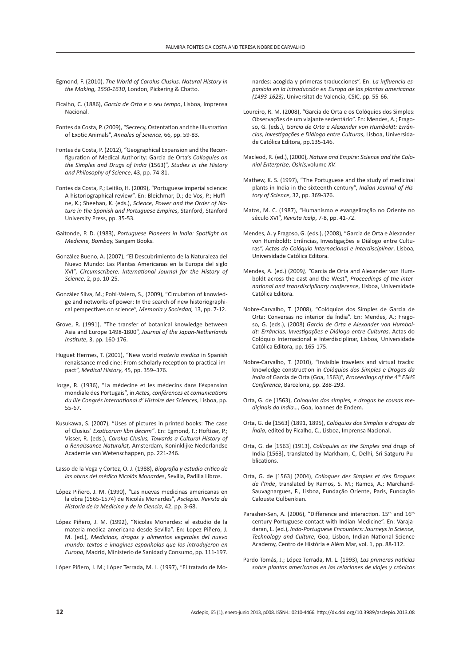- Egmond, F. (2010), *The World of Carolus Clusius. Natural History in the Making, 1550-1610*, London, Pickering & Chatto.
- Ficalho, C. (1886), *Garcia de Orta e o seu tempo*, Lisboa, Imprensa Nacional.
- Fontes da Costa, P. (2009), "Secrecy, Ostentation and the Illustration of Exotic Animals", *Annales of Science,* 66, pp. 59-83.
- Fontes da Costa, P. (2012), "Geographical Expansion and the Reconfiguration of Medical Authority: Garcia de Orta's *Colloquies on the Simples and Drugs of India* (1563)", *Studies in the History and Philosophy of Science*, 43, pp. 74-81.
- Fontes da Costa, P.; Leitão, H. (2009), "Portuguese imperial science: A historiographical review". En: Bleichmar, D.; de Vos, P.; Huffine, K.; Sheehan, K. (eds.), *Science, Power and the Order of Nature in the Spanish and Portuguese Empires*, Stanford, Stanford University Press, pp. 35-53.
- Gaitonde, P. D. (1983), *Portuguese Pioneers in India: Spotlight on Medicine, Bombay,* Sangam Books.
- González Bueno, A. (2007), "El Descubrimiento de la Naturaleza del Nuevo Mundo: Las Plantas Americanas en la Europa del siglo XVI", *Circumscribere. International Journal for the History of Science*, 2, pp. 10-25.
- González Silva, M.; Pohl-Valero, S.*,* (2009), "Circulation of knowledge and networks of power: In the search of new historiographical perspectives on science", *Memoria y Sociedad,* 13, pp. 7-12.
- Grove, R. (1991), "The transfer of botanical knowledge between Asia and Europe 1498-1800", *Journal of the Japan-Netherlands Institute*, 3, pp. 160-176.
- Huguet-Hermes, T. (2001), "New world *materia medica* in Spanish renaissance medicine: From scholarly reception to practical impact", *Medical History*, 45, pp. 359–376.
- Jorge, R. (1936), "La médecine et les médecins dans l'éxpansion mondiale des Portugais", in *Actes, conférences et comunications du IIIe Congrés International d' Histoire des Sciences*, Lisboa, pp. 55-67.
- Kusukawa, S. (2007), "Uses of pictures in printed books: The case of Clusius´ *Exoticorum libri decem"*. En: Egmond, F.; Hoftizer, P.; Visser, R. (eds.), *Carolus Clusius, Towards a Cultural History of a Renaissance Naturalist,* Amsterdam, Koninklijke Nederlandse Academie van Wetenschappen, pp. 221-246.
- Lasso de la Vega y Cortez, O. J. (1988), *Biografia y estudio critico de las obras del médico Nicolás Monarde*s, Sevilla, Padilla Libros.
- López Piñero, J. M. (1990), "Las nuevas medicinas americanas en la obra (1565-1574) de Nicolás Monardes", *Asclepio. Revista de Historia de la Medicina y de la Ciencia*, 42, pp. 3-68.
- López Piñero, J. M. (1992), "Nicolas Monardes: el estudio de la materia medica americana desde Sevilla". En: Lopez Piñero, J. M. (ed.), *Medicinas, drogas y alimentos vegetales del nuevo mundo: textos e imagines espanholas que los introdujeron en Europa*, Madrid, Ministerio de Sanidad y Consumo, pp. 111-197.

López Piñero, J. M.; López Terrada, M. L. (1997), "El tratado de Mo-

nardes: acogida y primeras traducciones". En: *La influencia espaniola en la introducción en Europa de las plantas americanas (1493-1623)*, Universitat de Valencia, CSIC, pp. 55-66.

- Loureiro, R. M. (2008), "Garcia de Orta e os Colóquios dos Simples: Observações de um viajante sedentário". En: Mendes, A.; Fragoso, G. (eds.), *Garcia de Orta e Alexander von Humboldt: Errâncias, Investigações e Diálogo entre Culturas*, Lisboa, Universidade Católica Editora, pp.135-146.
- Macleod, R. (ed.), (2000), *Nature and Empire: Science and the Colonial Enterprise, Osiris,*volume *XV.*
- Mathew, K. S. (1997), "The Portuguese and the study of medicinal plants in India in the sixteenth century", *Indian Journal of History of Science*, 32, pp. 369-376.
- Matos, M. C. (1987), "Humanismo e evangelização no Oriente no século XVI", *Revista Icalp*, 7-8, pp. 41-72.
- Mendes, A. y Fragoso, G. (eds.), (2008), "Garcia de Orta e Alexander von Humboldt: Errâncias, Investigações e Diálogo entre Culturas*", Actas do Colóquio Internacional e Interdisciplinar*, Lisboa, Universidade Católica Editora.
- Mendes, A. (ed.) (2009*), "*Garcia de Orta and Alexander von Humboldt across the east and the West", *Proceedings of the international and transdisciplinary conference*, Lisboa, Universidade Católica Editora.
- Nobre-Carvalho, T. (2008), "Colóquios dos Simples de Garcia de Orta: Conversas no interior da Índia". En: Mendes, A.; Fragoso, G. (eds.), (2008) *Garcia de Orta e Alexander von Humboldt: Errâncias, Investigações e Diálogo entre Culturas*. Actas do Colóquio Internacional e Interdisciplinar, Lisboa, Universidade Católica Editora, pp. 165-175.
- Nobre-Carvalho, T. (2010), "Invisible travelers and virtual tracks: knowledge construction in *Colóquios dos Simples e Drogas da India* of Garcia de Orta (Goa, 1563)", *Proceedings of the 4th ESHS Conference*, Barcelona, pp. 288-293.
- Orta, G. de (1563), *Coloquios dos simples, e drogas he cousas mediçinais da India…,* Goa, Ioannes de Endem.
- Orta, G. de [1563] (1891, 1895), *Colóquios dos Simples e drogas da Índia*, edited by Ficalho, C., Lisboa, Imprensa Nacional.
- Orta, G. de [1563] (1913), *Colloquies on the Simples and* drugs of India [1563], translated by Markham, C, Delhi, Sri Satguru Publications.
- Orta, G. de [1563] (2004), *Colloques des Simples et des Drogues de l'Inde*, translated by Ramos, S. M.; Ramos, A.; Marchand-Sauvagnargues, F., Lisboa, Fundação Oriente, Paris, Fundação Calouste Gulbenkian.
- Parasher-Sen, A. (2006), "Difference and interaction. 15<sup>th</sup> and 16<sup>th</sup> century Portuguese contact with Indian Medicine". En: Varajadaran, L. (ed.), *Indo-Portuguese Encounters: Journeys in Science, Technology and Culture*, Goa, Lisbon, Indian National Science Academy, Centro de História e Além Mar, vol. 1, pp. 88-112.
- Pardo Tomás, J.; López Terrada, M. L. (1993), *Las primeras noticias sobre plantas americanas en las relaciones de viajes y crónicas*